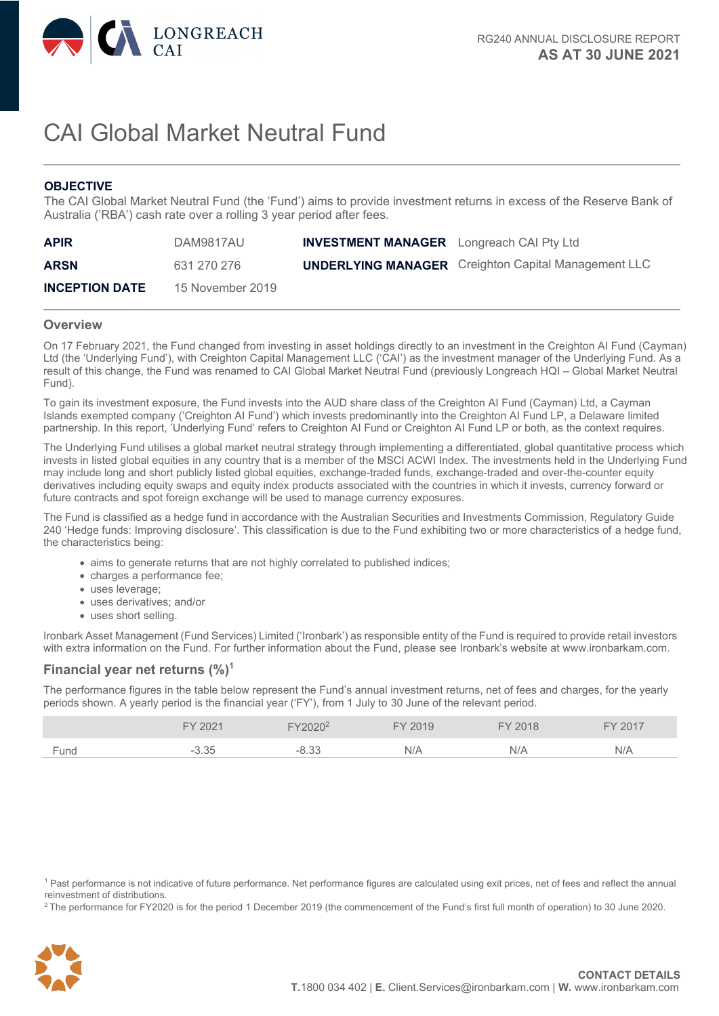

# CAI Global Market Neutral Fund

#### **OBJECTIVE**

The CAI Global Market Neutral Fund (the 'Fund') aims to provide investment returns in excess of the Reserve Bank of Australia ('RBA') cash rate over a rolling 3 year period after fees.

| <b>APIR</b>           | DAM9817AU        | <b>INVESTMENT MANAGER</b> Longreach CAI Pty Ltd |                                                            |
|-----------------------|------------------|-------------------------------------------------|------------------------------------------------------------|
| <b>ARSN</b>           | 631 270 276      |                                                 | <b>UNDERLYING MANAGER</b> Creighton Capital Management LLC |
| <b>INCEPTION DATE</b> | 15 November 2019 |                                                 |                                                            |

#### **Overview**

On 17 February 2021, the Fund changed from investing in asset holdings directly to an investment in the Creighton AI Fund (Cayman) Ltd (the 'Underlying Fund'), with Creighton Capital Management LLC ('CAI') as the investment manager of the Underlying Fund. As a result of this change, the Fund was renamed to CAI Global Market Neutral Fund (previously Longreach HQI – Global Market Neutral Fund).

To gain its investment exposure, the Fund invests into the AUD share class of the Creighton AI Fund (Cayman) Ltd, a Cayman Islands exempted company ('Creighton AI Fund') which invests predominantly into the Creighton AI Fund LP, a Delaware limited partnership. In this report, 'Underlying Fund' refers to Creighton AI Fund or Creighton AI Fund LP or both, as the context requires.

The Underlying Fund utilises a global market neutral strategy through implementing a differentiated, global quantitative process which invests in listed global equities in any country that is a member of the MSCI ACWI Index. The investments held in the Underlying Fund may include long and short publicly listed global equities, exchange-traded funds, exchange-traded and over-the-counter equity derivatives including equity swaps and equity index products associated with the countries in which it invests, currency forward or future contracts and spot foreign exchange will be used to manage currency exposures.

The Fund is classified as a hedge fund in accordance with the Australian Securities and Investments Commission, Regulatory Guide 240 'Hedge funds: Improving disclosure'. This classification is due to the Fund exhibiting two or more characteristics of a hedge fund, the characteristics being:

- aims to generate returns that are not highly correlated to published indices:
- charges a performance fee:
- uses leverage;
- uses derivatives; and/or
- uses short selling.

Ironbark Asset Management (Fund Services) Limited ('Ironbark') as responsible entity of the Fund is required to provide retail investors with extra information on the Fund. For further information about the Fund, please see Ironbark's website at [www.ironbarkam.com.](http://www.ironbarkam.com/)

## **Financial year net returns (%)<sup>1</sup>**

The performance figures in the table below represent the Fund's annual investment returns, net of fees and charges, for the yearly periods shown. A yearly period is the financial year ('FY'), from 1 July to 30 June of the relevant period.

|      | FY 2021 | ີ≏020∸ີ | FY 2019 | FY 2018 | FY 2017 |
|------|---------|---------|---------|---------|---------|
| Fund | . 35    |         | N/A     | N/A     | N/A     |

<sup>1</sup> Past performance is not indicative of future performance. Net performance figures are calculated using exit prices, net of fees and reflect the annual reinvestment of distributions.

 $2$  The performance for FY2020 is for the period 1 December 2019 (the commencement of the Fund's first full month of operation) to 30 June 2020.

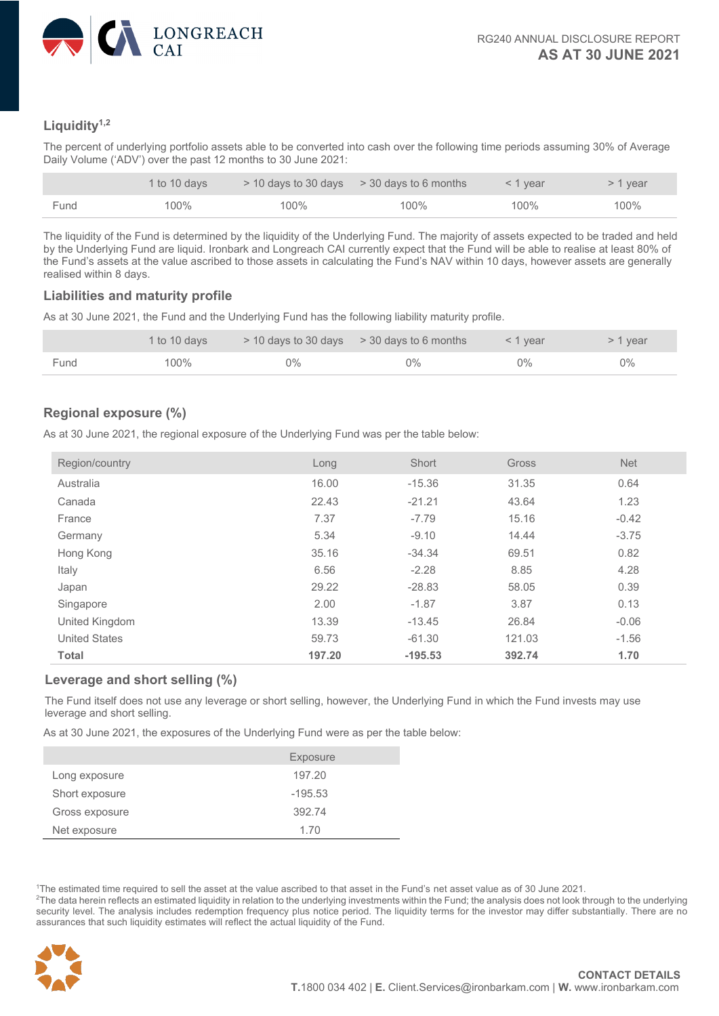

# **Liquidity1,2**

The percent of underlying portfolio assets able to be converted into cash over the following time periods assuming 30% of Average Daily Volume ('ADV') over the past 12 months to 30 June 2021:

|      | $\sim$ 1 to 10 days | $>$ 10 days to 30 days $>$ 30 days to 6 months |      | $\sim$ < 1 year $\sim$ | $>$ 1 year |
|------|---------------------|------------------------------------------------|------|------------------------|------------|
| Fund | 100%                | 100%                                           | 100% | 100%                   | 100%       |

The liquidity of the Fund is determined by the liquidity of the Underlying Fund. The majority of assets expected to be traded and held by the Underlying Fund are liquid. Ironbark and Longreach CAI currently expect that the Fund will be able to realise at least 80% of the Fund's assets at the value ascribed to those assets in calculating the Fund's NAV within 10 days, however assets are generally realised within 8 days.

#### **Liabilities and maturity profile**

As at 30 June 2021, the Fund and the Underlying Fund has the following liability maturity profile.

|      | 1 to 10 days |       | $>$ 10 days to 30 days $>$ 30 days to 6 months | $\sim$ 1 year | > 1 year |
|------|--------------|-------|------------------------------------------------|---------------|----------|
| Fund | 100%         | $0\%$ | 0%                                             | $0\%$         | ገ%       |

## **Regional exposure (%)**

As at 30 June 2021, the regional exposure of the Underlying Fund was per the table below:

| Region/country       | Long   | Short     | Gross  | <b>Net</b> |
|----------------------|--------|-----------|--------|------------|
| Australia            | 16.00  | $-15.36$  | 31.35  | 0.64       |
| Canada               | 22.43  | $-21.21$  | 43.64  | 1.23       |
| France               | 7.37   | $-7.79$   | 15.16  | $-0.42$    |
| Germany              | 5.34   | $-9.10$   | 14.44  | $-3.75$    |
| Hong Kong            | 35.16  | $-34.34$  | 69.51  | 0.82       |
| Italy                | 6.56   | $-2.28$   | 8.85   | 4.28       |
| Japan                | 29.22  | $-28.83$  | 58.05  | 0.39       |
| Singapore            | 2.00   | $-1.87$   | 3.87   | 0.13       |
| United Kingdom       | 13.39  | $-13.45$  | 26.84  | $-0.06$    |
| <b>United States</b> | 59.73  | $-61.30$  | 121.03 | $-1.56$    |
| <b>Total</b>         | 197.20 | $-195.53$ | 392.74 | 1.70       |

#### **Leverage and short selling (%)**

The Fund itself does not use any leverage or short selling, however, the Underlying Fund in which the Fund invests may use leverage and short selling.

As at 30 June 2021, the exposures of the Underlying Fund were as per the table below:

|                | <b>Exposure</b> |  |
|----------------|-----------------|--|
| Long exposure  | 197.20          |  |
| Short exposure | $-195.53$       |  |
| Gross exposure | 392.74          |  |
| Net exposure   | 170             |  |

1 The estimated time required to sell the asset at the value ascribed to that asset in the Fund's net asset value as of 30 June 2021.

 $^{2}$ The data herein reflects an estimated liquidity in relation to the underlying investments within the Fund; the analysis does not look through to the underlying security level. The analysis includes redemption frequency plus notice period. The liquidity terms for the investor may differ substantially. There are no assurances that such liquidity estimates will reflect the actual liquidity of the Fund.